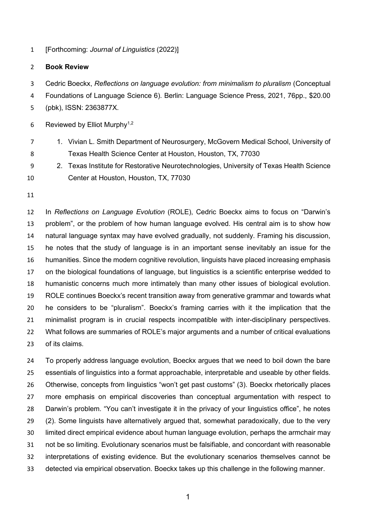[Forthcoming: *Journal of Linguistics* (2022)]

## **Book Review**

Cedric Boeckx, *Reflections on language evolution: from minimalism to pluralism* (Conceptual

Foundations of Language Science 6). Berlin: Language Science Press, 2021, 76pp., \$20.00

(pbk), ISSN: 2363877X.

6 Reviewed by Elliot Murphy<sup>1,2</sup>

- 1. Vivian L. Smith Department of Neurosurgery, McGovern Medical School, University of Texas Health Science Center at Houston, Houston, TX, 77030
- 2. Texas Institute for Restorative Neurotechnologies, University of Texas Health Science Center at Houston, Houston, TX, 77030
- 

 In *Reflections on Language Evolution* (ROLE), Cedric Boeckx aims to focus on "Darwin's problem", or the problem of how human language evolved. His central aim is to show how natural language syntax may have evolved gradually, not suddenly. Framing his discussion, he notes that the study of language is in an important sense inevitably an issue for the humanities. Since the modern cognitive revolution, linguists have placed increasing emphasis on the biological foundations of language, but linguistics is a scientific enterprise wedded to humanistic concerns much more intimately than many other issues of biological evolution. ROLE continues Boeckx's recent transition away from generative grammar and towards what he considers to be "pluralism". Boeckx's framing carries with it the implication that the minimalist program is in crucial respects incompatible with inter-disciplinary perspectives. What follows are summaries of ROLE's major arguments and a number of critical evaluations of its claims.

 To properly address language evolution, Boeckx argues that we need to boil down the bare essentials of linguistics into a format approachable, interpretable and useable by other fields. Otherwise, concepts from linguistics "won't get past customs" (3). Boeckx rhetorically places more emphasis on empirical discoveries than conceptual argumentation with respect to Darwin's problem. "You can't investigate it in the privacy of your linguistics office", he notes (2). Some linguists have alternatively argued that, somewhat paradoxically, due to the very limited direct empirical evidence about human language evolution, perhaps the armchair may not be so limiting. Evolutionary scenarios must be falsifiable, and concordant with reasonable interpretations of existing evidence. But the evolutionary scenarios themselves cannot be detected via empirical observation. Boeckx takes up this challenge in the following manner.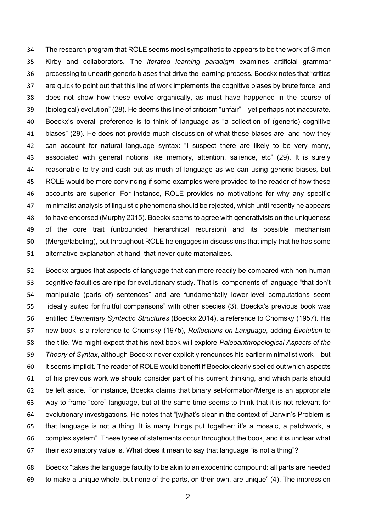The research program that ROLE seems most sympathetic to appears to be the work of Simon Kirby and collaborators. The *iterated learning paradigm* examines artificial grammar processing to unearth generic biases that drive the learning process. Boeckx notes that "critics are quick to point out that this line of work implements the cognitive biases by brute force, and does not show how these evolve organically, as must have happened in the course of (biological) evolution" (28). He deems this line of criticism "unfair" – yet perhaps not inaccurate. Boeckx's overall preference is to think of language as "a collection of (generic) cognitive biases" (29). He does not provide much discussion of what these biases are, and how they can account for natural language syntax: "I suspect there are likely to be very many, associated with general notions like memory, attention, salience, etc" (29). It is surely reasonable to try and cash out as much of language as we can using generic biases, but ROLE would be more convincing if some examples were provided to the reader of how these accounts are superior. For instance, ROLE provides no motivations for why any specific minimalist analysis of linguistic phenomena should be rejected, which until recently he appears to have endorsed (Murphy 2015). Boeckx seems to agree with generativists on the uniqueness of the core trait (unbounded hierarchical recursion) and its possible mechanism (Merge/labeling), but throughout ROLE he engages in discussions that imply that he has some alternative explanation at hand, that never quite materializes.

 Boeckx argues that aspects of language that can more readily be compared with non-human cognitive faculties are ripe for evolutionary study. That is, components of language "that don't manipulate (parts of) sentences" and are fundamentally lower-level computations seem "ideally suited for fruitful comparisons" with other species (3). Boeckx's previous book was entitled *Elementary Syntactic Structures* (Boeckx 2014), a reference to Chomsky (1957). His new book is a reference to Chomsky (1975), *Reflections on Language*, adding *Evolution* to the title. We might expect that his next book will explore *Paleoanthropological Aspects of the Theory of Syntax*, although Boeckx never explicitly renounces his earlier minimalist work – but it seems implicit. The reader of ROLE would benefit if Boeckx clearly spelled out which aspects of his previous work we should consider part of his current thinking, and which parts should be left aside. For instance, Boeckx claims that binary set-formation/Merge is an appropriate way to frame "core" language, but at the same time seems to think that it is not relevant for evolutionary investigations. He notes that "[w]hat's clear in the context of Darwin's Problem is that language is not a thing. It is many things put together: it's a mosaic, a patchwork, a complex system". These types of statements occur throughout the book, and it is unclear what their explanatory value is. What does it mean to say that language "is not a thing"?

 Boeckx "takes the language faculty to be akin to an exocentric compound: all parts are needed to make a unique whole, but none of the parts, on their own, are unique" (4). The impression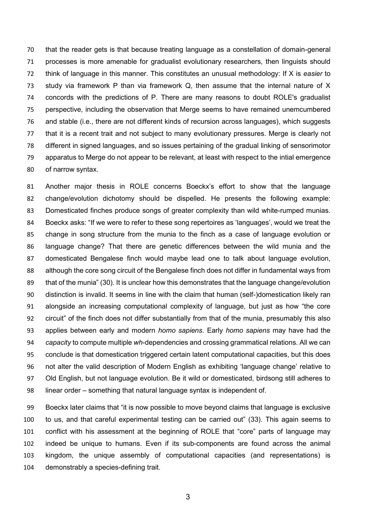that the reader gets is that because treating language as a constellation of domain-general processes is more amenable for gradualist evolutionary researchers, then linguists should think of language in this manner. This constitutes an unusual methodology: If X is *easier* to 73 study via framework P than via framework Q, then assume that the internal nature of X concords with the predictions of P. There are many reasons to doubt ROLE's gradualist perspective, including the observation that Merge seems to have remained unemcumbered and stable (i.e., there are not different kinds of recursion across languages), which suggests that it is a recent trait and not subject to many evolutionary pressures. Merge is clearly not different in signed languages, and so issues pertaining of the gradual linking of sensorimotor apparatus to Merge do not appear to be relevant, at least with respect to the intial emergence of narrow syntax.

 Another major thesis in ROLE concerns Boeckx's effort to show that the language change/evolution dichotomy should be dispelled. He presents the following example: Domesticated finches produce songs of greater complexity than wild white-rumped munias. Boeckx asks: "If we were to refer to these song repertoires as 'languages', would we treat the change in song structure from the munia to the finch as a case of language evolution or language change? That there are genetic differences between the wild munia and the domesticated Bengalese finch would maybe lead one to talk about language evolution, 88 although the core song circuit of the Bengalese finch does not differ in fundamental ways from that of the munia" (30). It is unclear how this demonstrates that the language change/evolution distinction is invalid. It seems in line with the claim that human (self-)domestication likely ran alongside an increasing computational complexity of language, but just as how "the core circuit" of the finch does not differ substantially from that of the munia, presumably this also applies between early and modern *homo sapiens*. Early *homo sapiens* may have had the *capacity* to compute multiple *wh*-dependencies and crossing grammatical relations. All we can conclude is that domestication triggered certain latent computational capacities, but this does not alter the valid description of Modern English as exhibiting 'language change' relative to Old English, but not language evolution. Be it wild or domesticated, birdsong still adheres to linear order – something that natural language syntax is independent of.

 Boeckx later claims that "it is now possible to move beyond claims that language is exclusive to us, and that careful experimental testing can be carried out" (33). This again seems to conflict with his assessment at the beginning of ROLE that "core" parts of language may indeed be unique to humans. Even if its sub-components are found across the animal kingdom, the unique assembly of computational capacities (and representations) is demonstrably a species-defining trait.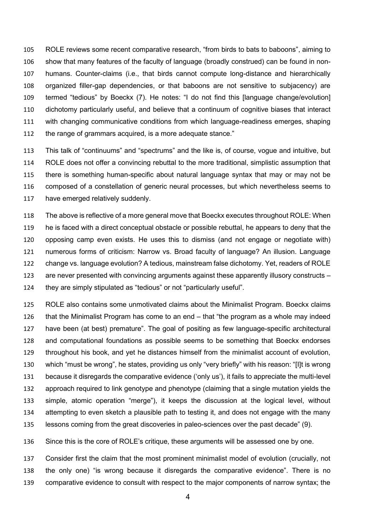ROLE reviews some recent comparative research, "from birds to bats to baboons", aiming to show that many features of the faculty of language (broadly construed) can be found in non- humans. Counter-claims (i.e., that birds cannot compute long-distance and hierarchically organized filler-gap dependencies, or that baboons are not sensitive to subjacency) are termed "tedious" by Boeckx (7). He notes: "I do not find this [language change/evolution] dichotomy particularly useful, and believe that a continuum of cognitive biases that interact with changing communicative conditions from which language-readiness emerges, shaping the range of grammars acquired, is a more adequate stance."

 This talk of "continuums" and "spectrums" and the like is, of course, vogue and intuitive, but ROLE does not offer a convincing rebuttal to the more traditional, simplistic assumption that there is something human-specific about natural language syntax that may or may not be composed of a constellation of generic neural processes, but which nevertheless seems to have emerged relatively suddenly.

 The above is reflective of a more general move that Boeckx executes throughout ROLE: When he is faced with a direct conceptual obstacle or possible rebuttal, he appears to deny that the opposing camp even exists. He uses this to dismiss (and not engage or negotiate with) numerous forms of criticism: Narrow vs. Broad faculty of language? An illusion. Language change vs. language evolution? A tedious, mainstream false dichotomy. Yet, readers of ROLE are never presented with convincing arguments against these apparently illusory constructs – they are simply stipulated as "tedious" or not "particularly useful".

 ROLE also contains some unmotivated claims about the Minimalist Program. Boeckx claims that the Minimalist Program has come to an end – that "the program as a whole may indeed have been (at best) premature". The goal of positing as few language-specific architectural and computational foundations as possible seems to be something that Boeckx endorses throughout his book, and yet he distances himself from the minimalist account of evolution, which "must be wrong", he states, providing us only "very briefly" with his reason: "[I]t is wrong because it disregards the comparative evidence ('only us'), it fails to appreciate the multi-level approach required to link genotype and phenotype (claiming that a single mutation yields the simple, atomic operation "merge"), it keeps the discussion at the logical level, without attempting to even sketch a plausible path to testing it, and does not engage with the many lessons coming from the great discoveries in paleo-sciences over the past decade" (9).

Since this is the core of ROLE's critique, these arguments will be assessed one by one.

 Consider first the claim that the most prominent minimalist model of evolution (crucially, not the only one) "is wrong because it disregards the comparative evidence". There is no comparative evidence to consult with respect to the major components of narrow syntax; the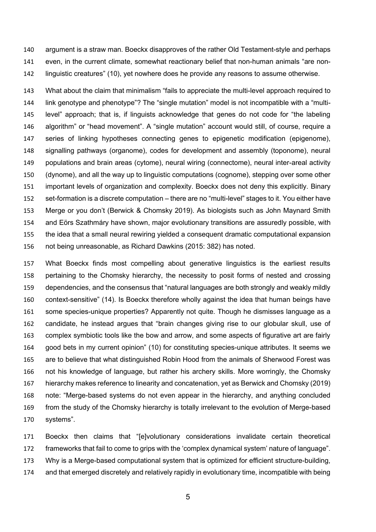argument is a straw man. Boeckx disapproves of the rather Old Testament-style and perhaps even, in the current climate, somewhat reactionary belief that non-human animals "are non-linguistic creatures" (10), yet nowhere does he provide any reasons to assume otherwise.

 What about the claim that minimalism "fails to appreciate the multi-level approach required to link genotype and phenotype"? The "single mutation" model is not incompatible with a "multi- level" approach; that is, if linguists acknowledge that genes do not code for "the labeling algorithm" or "head movement". A "single mutation" account would still, of course, require a series of linking hypotheses connecting genes to epigenetic modification (epigenome), signalling pathways (organome), codes for development and assembly (toponome), neural populations and brain areas (cytome), neural wiring (connectome), neural inter-areal activity (dynome), and all the way up to linguistic computations (cognome), stepping over some other important levels of organization and complexity. Boeckx does not deny this explicitly. Binary set-formation is a discrete computation – there are no "multi-level" stages to it. You either have Merge or you don't (Berwick & Chomsky 2019). As biologists such as John Maynard Smith and Eörs Szathmáry have shown, major evolutionary transitions are assuredly possible, with the idea that a small neural rewiring yielded a consequent dramatic computational expansion not being unreasonable, as Richard Dawkins (2015: 382) has noted.

 What Boeckx finds most compelling about generative linguistics is the earliest results pertaining to the Chomsky hierarchy, the necessity to posit forms of nested and crossing dependencies, and the consensus that "natural languages are both strongly and weakly mildly context-sensitive" (14). Is Boeckx therefore wholly against the idea that human beings have some species-unique properties? Apparently not quite. Though he dismisses language as a candidate, he instead argues that "brain changes giving rise to our globular skull, use of complex symbiotic tools like the bow and arrow, and some aspects of figurative art are fairly good bets in my current opinion" (10) for constituting species-unique attributes. It seems we are to believe that what distinguished Robin Hood from the animals of Sherwood Forest was not his knowledge of language, but rather his archery skills. More worringly, the Chomsky hierarchy makes reference to linearity and concatenation, yet as Berwick and Chomsky (2019) note: "Merge-based systems do not even appear in the hierarchy, and anything concluded from the study of the Chomsky hierarchy is totally irrelevant to the evolution of Merge-based systems".

 Boeckx then claims that "[e]volutionary considerations invalidate certain theoretical frameworks that fail to come to grips with the 'complex dynamical system' nature of language". Why is a Merge-based computational system that is optimized for efficient structure-building, and that emerged discretely and relatively rapidly in evolutionary time, incompatible with being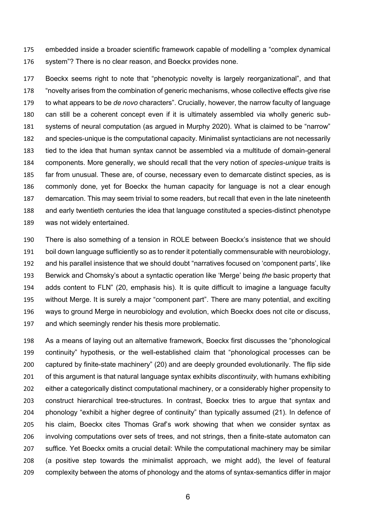embedded inside a broader scientific framework capable of modelling a "complex dynamical system"? There is no clear reason, and Boeckx provides none.

 Boeckx seems right to note that "phenotypic novelty is largely reorganizational", and that "novelty arises from the combination of generic mechanisms, whose collective effects give rise to what appears to be *de novo* characters". Crucially, however, the narrow faculty of language can still be a coherent concept even if it is ultimately assembled via wholly generic sub- systems of neural computation (as argued in Murphy 2020). What is claimed to be "narrow" and species-unique is the computational capacity. Minimalist syntacticians are not necessarily tied to the idea that human syntax cannot be assembled via a multitude of domain-general components. More generally, we should recall that the very notion of *species-unique* traits is far from unusual. These are, of course, necessary even to demarcate distinct species, as is commonly done, yet for Boeckx the human capacity for language is not a clear enough demarcation. This may seem trivial to some readers, but recall that even in the late nineteenth and early twentieth centuries the idea that language constituted a species-distinct phenotype was not widely entertained.

 There is also something of a tension in ROLE between Boeckx's insistence that we should boil down language sufficiently so as to render it potentially commensurable with neurobiology, and his parallel insistence that we should doubt "narratives focused on 'component parts', like Berwick and Chomsky's about a syntactic operation like 'Merge' being *the* basic property that adds content to FLN" (20, emphasis his). It is quite difficult to imagine a language faculty without Merge. It is surely a major "component part". There are many potential, and exciting ways to ground Merge in neurobiology and evolution, which Boeckx does not cite or discuss, and which seemingly render his thesis more problematic.

 As a means of laying out an alternative framework, Boeckx first discusses the "phonological continuity" hypothesis, or the well-established claim that "phonological processes can be captured by finite-state machinery" (20) and are deeply grounded evolutionarily. The flip side of this argument is that natural language syntax exhibits *discontinuity*, with humans exhibiting either a categorically distinct computational machinery, or a considerably higher propensity to construct hierarchical tree-structures. In contrast, Boeckx tries to argue that syntax and phonology "exhibit a higher degree of continuity" than typically assumed (21). In defence of his claim, Boeckx cites Thomas Graf's work showing that when we consider syntax as involving computations over sets of trees, and not strings, then a finite-state automaton can suffice. Yet Boeckx omits a crucial detail: While the computational machinery may be similar (a positive step towards the minimalist approach, we might add), the level of featural complexity between the atoms of phonology and the atoms of syntax-semantics differ in major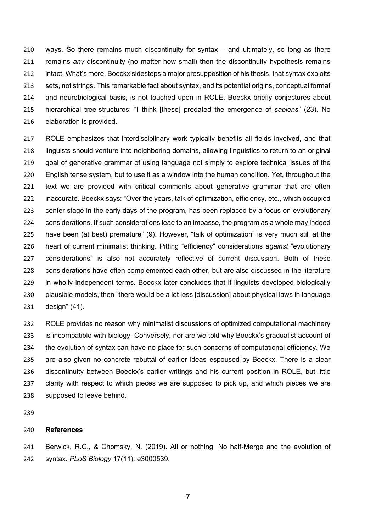ways. So there remains much discontinuity for syntax – and ultimately, so long as there remains *any* discontinuity (no matter how small) then the discontinuity hypothesis remains intact. What's more, Boeckx sidesteps a major presupposition of his thesis, that syntax exploits sets, not strings. This remarkable fact about syntax, and its potential origins, conceptual format and neurobiological basis, is not touched upon in ROLE. Boeckx briefly conjectures about hierarchical tree-structures: "I think [these] predated the emergence of *sapiens*" (23). No elaboration is provided.

 ROLE emphasizes that interdisciplinary work typically benefits all fields involved, and that linguists should venture into neighboring domains, allowing linguistics to return to an original goal of generative grammar of using language not simply to explore technical issues of the English tense system, but to use it as a window into the human condition. Yet, throughout the text we are provided with critical comments about generative grammar that are often inaccurate. Boeckx says: "Over the years, talk of optimization, efficiency, etc., which occupied center stage in the early days of the program, has been replaced by a focus on evolutionary considerations. If such considerations lead to an impasse, the program as a whole may indeed have been (at best) premature" (9). However, "talk of optimization" is very much still at the heart of current minimalist thinking. Pitting "efficiency" considerations *against* "evolutionary considerations" is also not accurately reflective of current discussion. Both of these considerations have often complemented each other, but are also discussed in the literature in wholly independent terms. Boeckx later concludes that if linguists developed biologically plausible models, then "there would be a lot less [discussion] about physical laws in language design" (41).

 ROLE provides no reason why minimalist discussions of optimized computational machinery is incompatible with biology. Conversely, nor are we told why Boeckx's gradualist account of the evolution of syntax can have no place for such concerns of computational efficiency. We are also given no concrete rebuttal of earlier ideas espoused by Boeckx. There is a clear discontinuity between Boeckx's earlier writings and his current position in ROLE, but little clarity with respect to which pieces we are supposed to pick up, and which pieces we are supposed to leave behind.

## **References**

 Berwick, R.C., & Chomsky, N. (2019). All or nothing: No half-Merge and the evolution of syntax. *PLoS Biology* 17(11): e3000539.